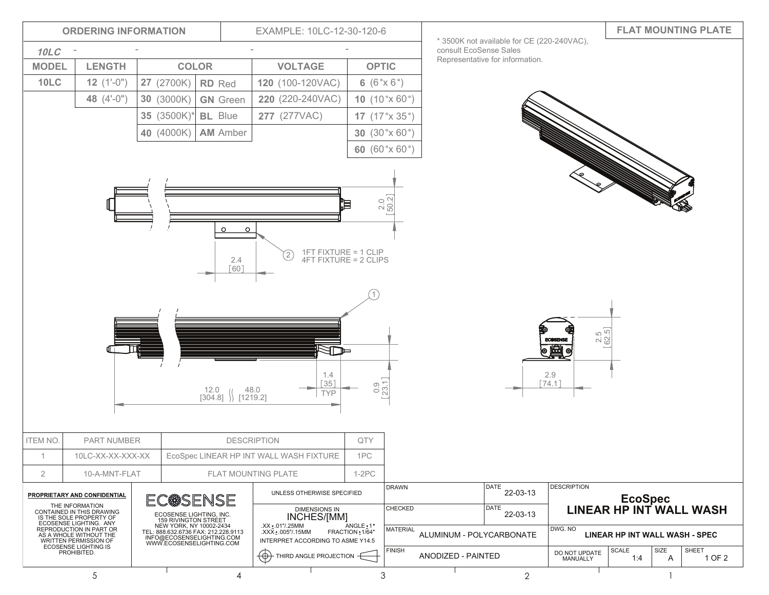